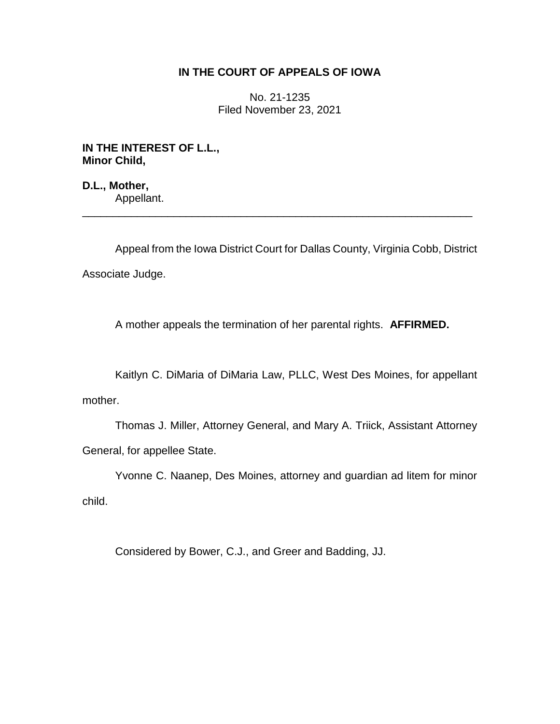## **IN THE COURT OF APPEALS OF IOWA**

No. 21-1235 Filed November 23, 2021

**IN THE INTEREST OF L.L., Minor Child,**

**D.L., Mother,** Appellant. \_\_\_\_\_\_\_\_\_\_\_\_\_\_\_\_\_\_\_\_\_\_\_\_\_\_\_\_\_\_\_\_\_\_\_\_\_\_\_\_\_\_\_\_\_\_\_\_\_\_\_\_\_\_\_\_\_\_\_\_\_\_\_\_

Appeal from the Iowa District Court for Dallas County, Virginia Cobb, District Associate Judge.

A mother appeals the termination of her parental rights. **AFFIRMED.**

Kaitlyn C. DiMaria of DiMaria Law, PLLC, West Des Moines, for appellant mother.

Thomas J. Miller, Attorney General, and Mary A. Triick, Assistant Attorney General, for appellee State.

Yvonne C. Naanep, Des Moines, attorney and guardian ad litem for minor child.

Considered by Bower, C.J., and Greer and Badding, JJ.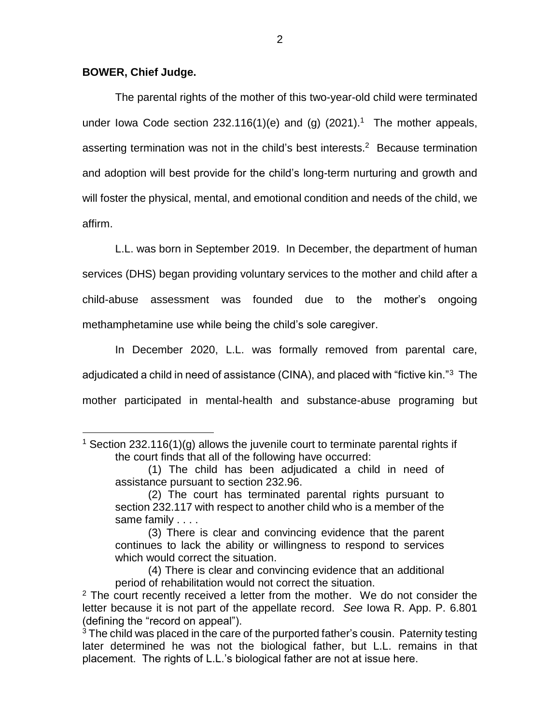## **BOWER, Chief Judge.**

 $\overline{a}$ 

The parental rights of the mother of this two-year-old child were terminated under lowa Code section 232.116(1)(e) and (g)  $(2021).<sup>1</sup>$  The mother appeals, asserting termination was not in the child's best interests.<sup>2</sup> Because termination and adoption will best provide for the child's long-term nurturing and growth and will foster the physical, mental, and emotional condition and needs of the child, we affirm.

L.L. was born in September 2019. In December, the department of human services (DHS) began providing voluntary services to the mother and child after a child-abuse assessment was founded due to the mother's ongoing methamphetamine use while being the child's sole caregiver.

In December 2020, L.L. was formally removed from parental care, adjudicated a child in need of assistance (CINA), and placed with "fictive kin."<sup>3</sup> The mother participated in mental-health and substance-abuse programing but

(4) There is clear and convincing evidence that an additional period of rehabilitation would not correct the situation.

<sup>&</sup>lt;sup>1</sup> Section 232.116(1)(g) allows the juvenile court to terminate parental rights if the court finds that all of the following have occurred:

<sup>(1)</sup> The child has been adjudicated a child in need of assistance pursuant to section 232.96.

<sup>(2)</sup> The court has terminated parental rights pursuant to section 232.117 with respect to another child who is a member of the same family . . . .

<sup>(3)</sup> There is clear and convincing evidence that the parent continues to lack the ability or willingness to respond to services which would correct the situation.

 $2$  The court recently received a letter from the mother. We do not consider the letter because it is not part of the appellate record. *See* Iowa R. App. P. 6.801 (defining the "record on appeal").

 $3$  The child was placed in the care of the purported father's cousin. Paternity testing later determined he was not the biological father, but L.L. remains in that placement. The rights of L.L.'s biological father are not at issue here.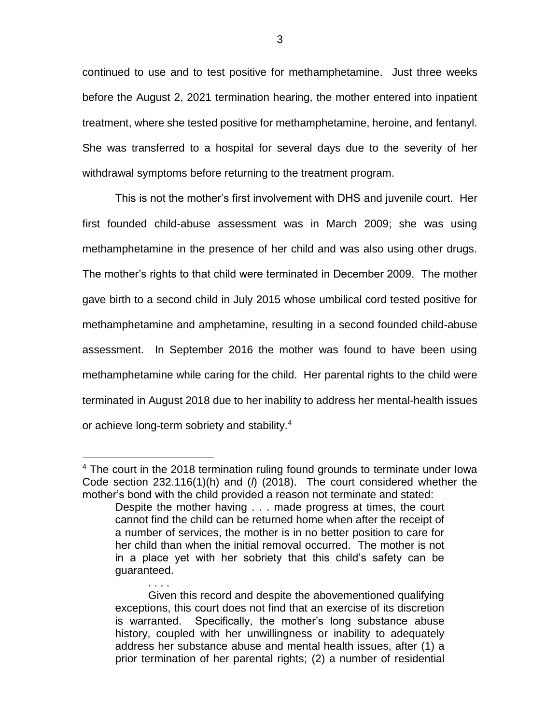continued to use and to test positive for methamphetamine. Just three weeks before the August 2, 2021 termination hearing, the mother entered into inpatient treatment, where she tested positive for methamphetamine, heroine, and fentanyl. She was transferred to a hospital for several days due to the severity of her withdrawal symptoms before returning to the treatment program.

This is not the mother's first involvement with DHS and juvenile court. Her first founded child-abuse assessment was in March 2009; she was using methamphetamine in the presence of her child and was also using other drugs. The mother's rights to that child were terminated in December 2009. The mother gave birth to a second child in July 2015 whose umbilical cord tested positive for methamphetamine and amphetamine, resulting in a second founded child-abuse assessment. In September 2016 the mother was found to have been using methamphetamine while caring for the child. Her parental rights to the child were terminated in August 2018 due to her inability to address her mental-health issues or achieve long-term sobriety and stability.<sup>4</sup>

 $\overline{a}$ 

. . . .

<sup>&</sup>lt;sup>4</sup> The court in the 2018 termination ruling found grounds to terminate under lowa Code section 232.116(1)(h) and (*l*) (2018). The court considered whether the mother's bond with the child provided a reason not terminate and stated:

Despite the mother having . . . made progress at times, the court cannot find the child can be returned home when after the receipt of a number of services, the mother is in no better position to care for her child than when the initial removal occurred. The mother is not in a place yet with her sobriety that this child's safety can be guaranteed.

Given this record and despite the abovementioned qualifying exceptions, this court does not find that an exercise of its discretion is warranted. Specifically, the mother's long substance abuse history, coupled with her unwillingness or inability to adequately address her substance abuse and mental health issues, after (1) a prior termination of her parental rights; (2) a number of residential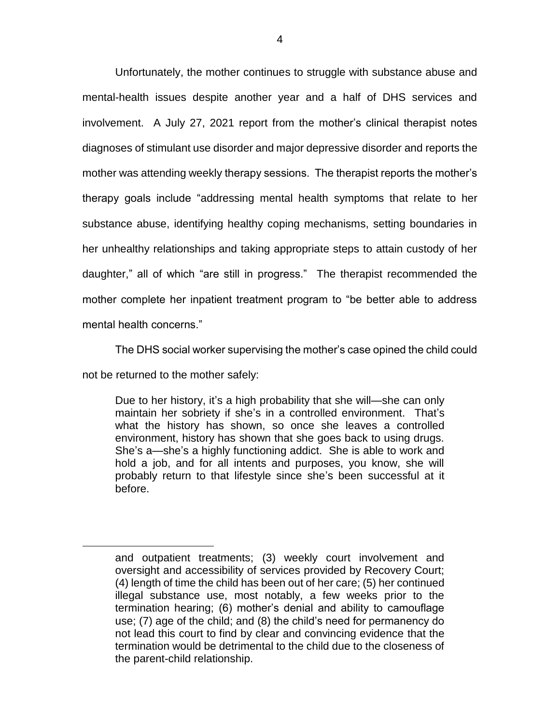Unfortunately, the mother continues to struggle with substance abuse and mental-health issues despite another year and a half of DHS services and involvement. A July 27, 2021 report from the mother's clinical therapist notes diagnoses of stimulant use disorder and major depressive disorder and reports the mother was attending weekly therapy sessions. The therapist reports the mother's therapy goals include "addressing mental health symptoms that relate to her substance abuse, identifying healthy coping mechanisms, setting boundaries in her unhealthy relationships and taking appropriate steps to attain custody of her daughter," all of which "are still in progress." The therapist recommended the mother complete her inpatient treatment program to "be better able to address mental health concerns."

The DHS social worker supervising the mother's case opined the child could not be returned to the mother safely:

Due to her history, it's a high probability that she will—she can only maintain her sobriety if she's in a controlled environment. That's what the history has shown, so once she leaves a controlled environment, history has shown that she goes back to using drugs. She's a—she's a highly functioning addict. She is able to work and hold a job, and for all intents and purposes, you know, she will probably return to that lifestyle since she's been successful at it before.

 $\overline{a}$ 

and outpatient treatments; (3) weekly court involvement and oversight and accessibility of services provided by Recovery Court; (4) length of time the child has been out of her care; (5) her continued illegal substance use, most notably, a few weeks prior to the termination hearing; (6) mother's denial and ability to camouflage use; (7) age of the child; and (8) the child's need for permanency do not lead this court to find by clear and convincing evidence that the termination would be detrimental to the child due to the closeness of the parent-child relationship.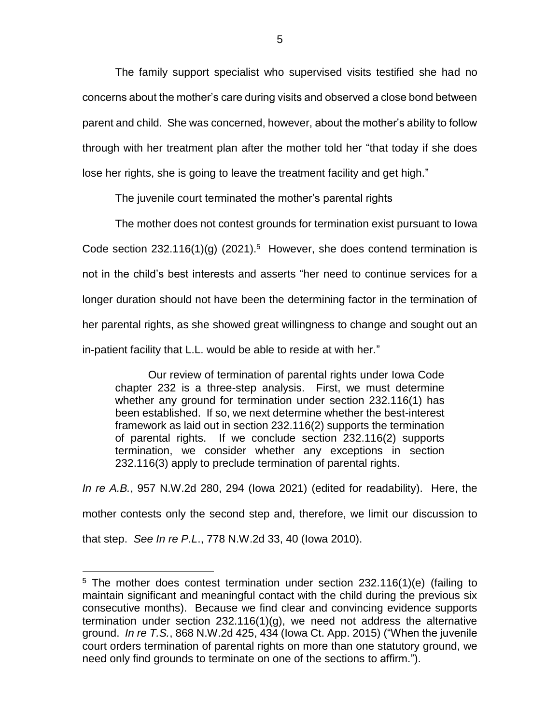The family support specialist who supervised visits testified she had no concerns about the mother's care during visits and observed a close bond between parent and child. She was concerned, however, about the mother's ability to follow through with her treatment plan after the mother told her "that today if she does lose her rights, she is going to leave the treatment facility and get high."

The juvenile court terminated the mother's parental rights

The mother does not contest grounds for termination exist pursuant to Iowa Code section  $232.116(1)(g)$  (2021).<sup>5</sup> However, she does contend termination is not in the child's best interests and asserts "her need to continue services for a longer duration should not have been the determining factor in the termination of her parental rights, as she showed great willingness to change and sought out an in-patient facility that L.L. would be able to reside at with her."

Our review of termination of parental rights under Iowa Code chapter 232 is a three-step analysis. First, we must determine whether any ground for termination under section 232.116(1) has been established. If so, we next determine whether the best-interest framework as laid out in section 232.116(2) supports the termination of parental rights. If we conclude section 232.116(2) supports termination, we consider whether any exceptions in section 232.116(3) apply to preclude termination of parental rights.

*In re A.B.*, 957 N.W.2d 280, 294 (Iowa 2021) (edited for readability). Here, the mother contests only the second step and, therefore, we limit our discussion to that step. *See In re P.L*., 778 N.W.2d 33, 40 (Iowa 2010).

 $\overline{a}$ 

 $5$  The mother does contest termination under section 232.116(1)(e) (failing to maintain significant and meaningful contact with the child during the previous six consecutive months). Because we find clear and convincing evidence supports termination under section 232.116(1)(g), we need not address the alternative ground. *In re T.S.*, 868 N.W.2d 425, 434 (Iowa Ct. App. 2015) ("When the juvenile court orders termination of parental rights on more than one statutory ground, we need only find grounds to terminate on one of the sections to affirm.").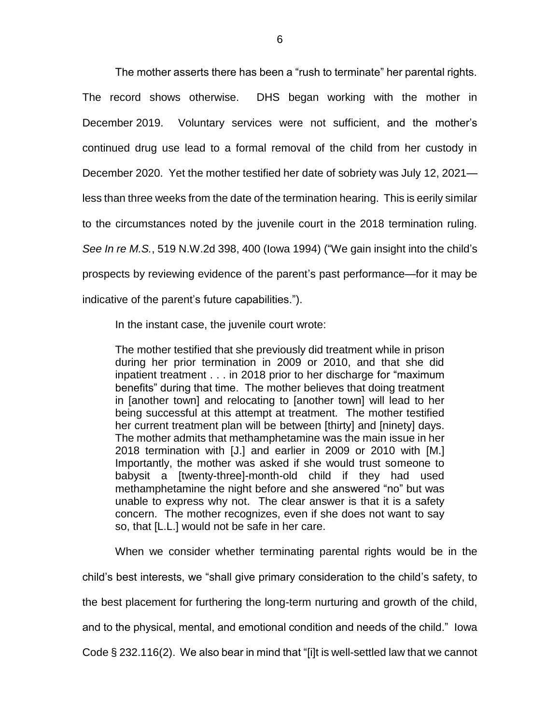The mother asserts there has been a "rush to terminate" her parental rights. The record shows otherwise. DHS began working with the mother in December 2019. Voluntary services were not sufficient, and the mother's continued drug use lead to a formal removal of the child from her custody in December 2020. Yet the mother testified her date of sobriety was July 12, 2021 less than three weeks from the date of the termination hearing. This is eerily similar to the circumstances noted by the juvenile court in the 2018 termination ruling. *See In re M.S.*, 519 N.W.2d 398, 400 (Iowa 1994) ("We gain insight into the child's prospects by reviewing evidence of the parent's past performance—for it may be indicative of the parent's future capabilities.").

In the instant case, the juvenile court wrote:

The mother testified that she previously did treatment while in prison during her prior termination in 2009 or 2010, and that she did inpatient treatment . . . in 2018 prior to her discharge for "maximum benefits" during that time. The mother believes that doing treatment in [another town] and relocating to [another town] will lead to her being successful at this attempt at treatment. The mother testified her current treatment plan will be between [thirty] and [ninety] days. The mother admits that methamphetamine was the main issue in her 2018 termination with [J.] and earlier in 2009 or 2010 with [M.] Importantly, the mother was asked if she would trust someone to babysit a [twenty-three]-month-old child if they had used methamphetamine the night before and she answered "no" but was unable to express why not. The clear answer is that it is a safety concern. The mother recognizes, even if she does not want to say so, that [L.L.] would not be safe in her care.

When we consider whether terminating parental rights would be in the child's best interests, we "shall give primary consideration to the child's safety, to the best placement for furthering the long-term nurturing and growth of the child, and to the physical, mental, and emotional condition and needs of the child." Iowa Code § 232.116(2). We also bear in mind that "[i]t is well-settled law that we cannot